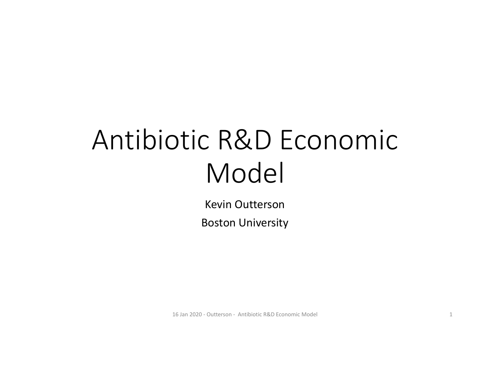# Antibiotic R&D Economic Model

Kevin OuttersonBoston University

16 Jan 2020 ‐ Outterson ‐ Antibiotic R&D Economic Model 1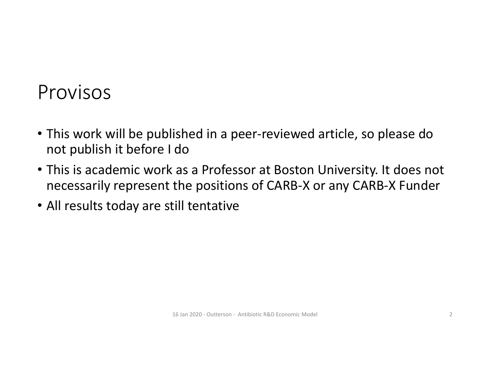#### Provisos

- This work will be published in a peer‐reviewed article, so please do not publish it before I do
- This is academic work as a Professor at Boston University. It does not necessarily represent the positions of CARB‐X or any CARB‐X Funder
- All results today are still tentative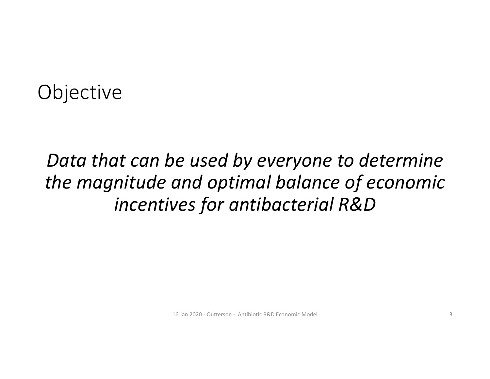### **Objective**

# *Data that can be used by everyone to determine the magnitude and optimal balance of economic incentives for antibacterial R&D*

16 Jan 2020 ‐ Outterson ‐ Antibiotic R&D Economic Model 3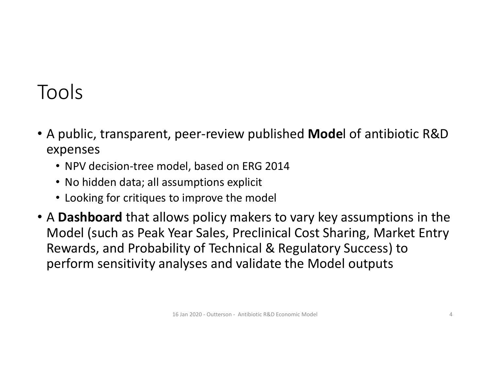# Tools

- A public, transparent, peer‐review published **Mode**l of antibiotic R&D expenses
	- NPV decision‐tree model, based on ERG 2014
	- No hidden data; all assumptions explicit
	- Looking for critiques to improve the model
- A **Dashboard** that allows policy makers to vary key assumptions in the Model (such as Peak Year Sales, Preclinical Cost Sharing, Market Entry Rewards, and Probability of Technical & Regulatory Success) to perform sensitivity analyses and validate the Model outputs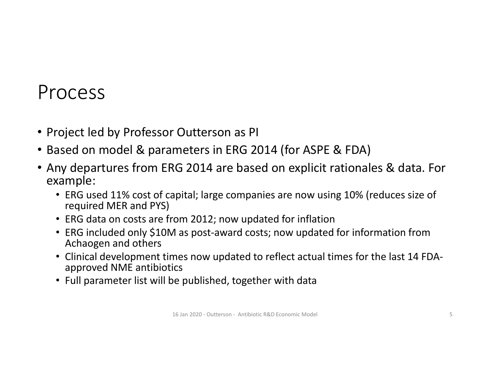#### Process

- Project led by Professor Outterson as PI
- Based on model & parameters in ERG 2014 (for ASPE & FDA)
- Any departures from ERG 2014 are based on explicit rationales & data. For example:
	- ERG used 11% cost of capital; large companies are now using 10% (reduces size of required MER and PYS)
	- ERG data on costs are from 2012; now updated for inflation
	- ERG included only \$10M as post-award costs; now updated for information from Achaogen and others
	- Clinical development times now updated to reflect actual times for the last 14 FDA‐ approved NME antibiotics
	- Full parameter list will be published, together with data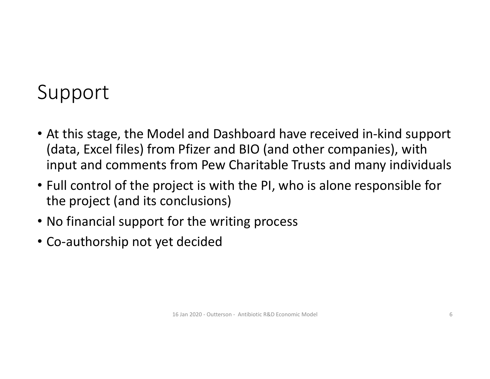# Support

- At this stage, the Model and Dashboard have received in‐kind support (data, Excel files) from Pfizer and BIO (and other companies), with input and comments from Pew Charitable Trusts and many individuals
- Full control of the project is with the PI, who is alone responsible for the project (and its conclusions)
- No financial support for the writing process
- Co‐authorship not yet decided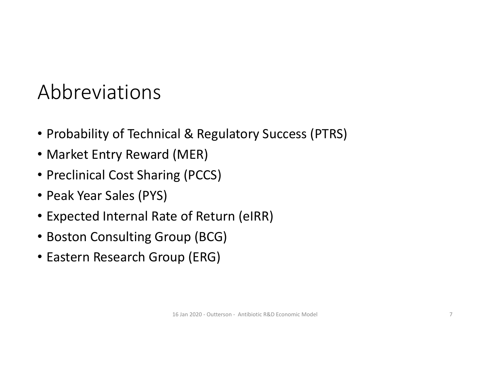# Abbreviations

- Probability of Technical & Regulatory Success (PTRS)
- Market Entry Reward (MER)
- Preclinical Cost Sharing (PCCS)
- Peak Year Sales (PYS)
- Expected Internal Rate of Return (eIRR)
- Boston Consulting Group (BCG)
- Eastern Research Group (ERG)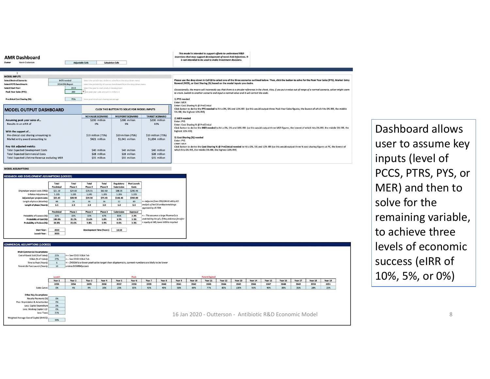| <b>AMR Dashboard</b><br><b>Adjustable Cells</b><br>Kevin Outterson<br>Owner                                                                                                                                                                                                                                                        | <b>Calculation Cells</b>                                                                                                               |                                                                                                                                          |                                                                                                                                         | This model is intended to support efforts to understand R&D<br>incentives that may support development of novel Anti-Infectives. It<br>is not intended to be used to make investment decisions.                                                                                                                                                                                                                                                                                                                                                                   |
|------------------------------------------------------------------------------------------------------------------------------------------------------------------------------------------------------------------------------------------------------------------------------------------------------------------------------------|----------------------------------------------------------------------------------------------------------------------------------------|------------------------------------------------------------------------------------------------------------------------------------------|-----------------------------------------------------------------------------------------------------------------------------------------|-------------------------------------------------------------------------------------------------------------------------------------------------------------------------------------------------------------------------------------------------------------------------------------------------------------------------------------------------------------------------------------------------------------------------------------------------------------------------------------------------------------------------------------------------------------------|
|                                                                                                                                                                                                                                                                                                                                    |                                                                                                                                        |                                                                                                                                          |                                                                                                                                         |                                                                                                                                                                                                                                                                                                                                                                                                                                                                                                                                                                   |
| <b>MODEL INPUTS</b>                                                                                                                                                                                                                                                                                                                |                                                                                                                                        |                                                                                                                                          |                                                                                                                                         |                                                                                                                                                                                                                                                                                                                                                                                                                                                                                                                                                                   |
| <b>Select Desired Scenario:</b><br>MER needed                                                                                                                                                                                                                                                                                      |                                                                                                                                        | Select the variable you desire to solve from the drop down menu                                                                          |                                                                                                                                         | Please use the drop down in Cell E8 to select one of the three scenarios outlined below. Then, click the button to solve for the Peak Year Sales (PYS), Market Entr                                                                                                                                                                                                                                                                                                                                                                                               |
| <b>Select POTS benchmark:</b><br>2014 ERG Report                                                                                                                                                                                                                                                                                   |                                                                                                                                        | Select the probability of success benchmark from the drop down menu                                                                      |                                                                                                                                         | Reward (MER), or Cost Sharing (%) based on the model inputs you desire.                                                                                                                                                                                                                                                                                                                                                                                                                                                                                           |
| 2019<br><b>Select Start Year:</b>                                                                                                                                                                                                                                                                                                  | Select the year to start product development                                                                                           |                                                                                                                                          |                                                                                                                                         | Occassionally, the macro will incorrectly say that there is a circular reference in the sheet. Also, if you put a value out of range of a normal scenario, solver might seen                                                                                                                                                                                                                                                                                                                                                                                      |
| 200<br>Peak Year Sales (PYS):                                                                                                                                                                                                                                                                                                      | v iter peak year sales amount in millions (                                                                                            |                                                                                                                                          |                                                                                                                                         | to crash. Switch to another scenario and input a normal value and it will correct the code.                                                                                                                                                                                                                                                                                                                                                                                                                                                                       |
| <b>Preclinical Cost Sharing (%):</b><br>75%                                                                                                                                                                                                                                                                                        | Enter preclinical cost sharing percentage                                                                                              | CLICK THIS BUTTON TO SOLVE FOR MODEL INPUTS                                                                                              |                                                                                                                                         | 1) PYS needed<br><b>Enter: MER</b><br>Enter: Cost Sharing % @ PreClinical<br>Click Button to derive the PYS needed to hit a 0%, 5% and 10% IRR (so this would output three Peak Year Sales figures, the lowest of which hits 0% IRR, the middle                                                                                                                                                                                                                                                                                                                   |
| <b>MODEL OUTPUT DASHBOARD</b>                                                                                                                                                                                                                                                                                                      |                                                                                                                                        |                                                                                                                                          | 5% IRR, the highest 10% IRR)                                                                                                            |                                                                                                                                                                                                                                                                                                                                                                                                                                                                                                                                                                   |
| Assuming peak year sales of<br>Results in an eIRR of<br>With the support of<br>Pre-clinical cost sharing amounting to<br>Market entry award amounting to<br>Key risk adjusted metrics<br><b>Total Expected Development Costs</b><br><b>Total Expected Commercial Costs</b><br><b>Total Expected Lifetime Revenue excluding MER</b> | <b>NO VALUE SCENARIO</b><br>\$200 million<br>0%<br>\$19 million (75%)<br>\$421 million<br>\$40 million<br>\$28 million<br>\$55 million | <b>MIDPOINT SCENARIO</b><br>\$200 million<br>5%<br>\$19 million (75%)<br>\$1,041 million<br>\$40 million<br>\$28 million<br>\$55 million | <b>TARGET SCENARIO</b><br>\$200 million<br>10%<br>\$19 million (75%)<br>\$1,694 million<br>\$40 million<br>\$28 million<br>\$55 million | 2) MER needed<br>Enter: PYS<br>Enter: Cost Sharing % @ PreClinical<br>Click Button to derive the MER needed to hit a 0%, 5% and 10% IRR (so this would output three MER figures, the lowest of which hits 0% IRR, the middle 5% IRR, the<br>highest 10% IRR)<br>3) Cost Sharing (%) needed<br>Enter: PYS<br><b>Enter: MER</b><br>Click Button to derive the Cost Sharing % @ PreClinical needed to hit a 0%, 5% and 10% IRR (so this would output three % cost sharing figures at PC, the lowest of<br>which hits 0% IRR, the middle 5% IRR, the highest 10% IRR) |
| MODEL ACCUMPTIONS                                                                                                                                                                                                                                                                                                                  |                                                                                                                                        |                                                                                                                                          |                                                                                                                                         |                                                                                                                                                                                                                                                                                                                                                                                                                                                                                                                                                                   |

#### **CH AND DEVELOPMENT ASSUMPTIONS (LOCKED)**

|                                   | Total<br>Preclinical | Total<br>Phase 1 | Total<br>Phase 2 | Total<br>Phase 3                 | <b>Regulatory</b><br>Submission | Post Launch<br>Costs |                                                 |
|-----------------------------------|----------------------|------------------|------------------|----------------------------------|---------------------------------|----------------------|-------------------------------------------------|
| Original per project costs (ERG): | \$21.10              | \$24.00          | \$24.55          | \$62.60                          | \$88.35                         | \$290.46             |                                                 |
| <b>Inflation Adiustment:</b>      | 1.205                | 1.205            | 1.205            | 1.205                            | 1.205                           | 1.205                |                                                 |
| Adjusted per project costs:       | \$25.43              | \$28.92          | \$29.58          | \$75.43                          | \$106.46                        | \$350.00             |                                                 |
| Length of phase (Months):         | 66                   | 24               | 36               | 36                               | 12                              | 60                   | <-- Adjusted from ERG/DRIVE-AB by KO            |
| Length of phase (Years):          | 5.5                  | 2.0              | 3.0              | 3.0                              | 1.0                             | 5.0                  | analysis of last 14 antibacterial drugs         |
|                                   |                      |                  |                  |                                  |                                 |                      | approved by US FDA                              |
|                                   | Preclinical          | Phase 1          | Phase 2          | Phase 3                          | Submission                      | Approval             |                                                 |
| Probability of Success (%):       | 35%                  | 33%              | 50%              | 67%                              | 85%                             | 3.3%                 | <--- This assumes a large Pharma Co is          |
| Probability of Cost (%):          | 100.0%               | 35.2%            | 11.6%            | 5.8%                             | 3.9%                            | 3.3%                 | undertaking the p/c; if they inlicense for a fe |
| Probability of Failure (%):       | 64.8%                | 23.6%            | 5.8%             | 1.9%                             | 0.6%                            | 3.3%                 | + royalty at IND, lower MER is required         |
|                                   |                      |                  |                  |                                  |                                 |                      |                                                 |
|                                   |                      |                  |                  |                                  |                                 |                      |                                                 |
| <b>Start Year:</b>                | 2019                 |                  |                  | <b>Development Time (Years):</b> | 14.50                           |                      |                                                 |



Dashboard allows user to assume key inputs (level of PCCS, PTRS, PYS, or MER) and then to solve for the remaining variable, to achieve three levels of economic success (eIRR of 10%, 5%, or 0%)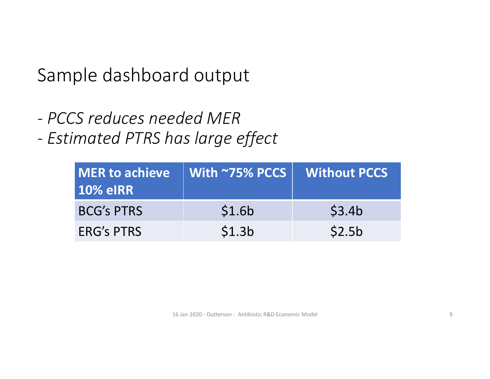Sample dashboard output

*‐ PCCS reduces needed MER*

 *Estimated PTRS has large effect*

| <b>10% eIRR</b>   | MER to achieve   With ~75% PCCS   Without PCCS |                    |
|-------------------|------------------------------------------------|--------------------|
| <b>BCG's PTRS</b> | \$1.6b                                         | \$3.4b             |
| <b>ERG's PTRS</b> | \$1.3 <sub>b</sub>                             | \$2.5 <sub>b</sub> |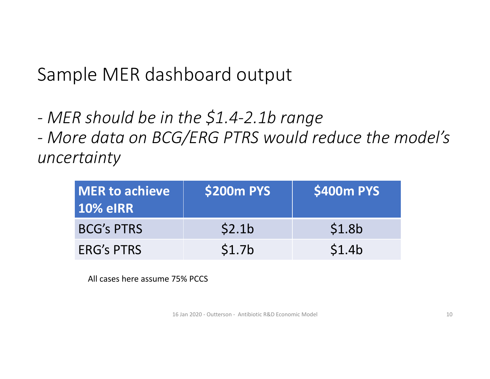# Sample MER dashboard output

- *MER should be in the \$1.4‐2.1b range*
- *More data on BCG/ERG PTRS would reduce the model's uncertainty*

| <b>MER to achieve</b><br><b>10% eIRR</b> | <b>\$200m PYS</b>  | <b>\$400m PYS</b>  |
|------------------------------------------|--------------------|--------------------|
| <b>BCG's PTRS</b>                        | \$2.1 <sub>b</sub> | \$1.8 <sub>b</sub> |
| <b>ERG's PTRS</b>                        | \$1.7 <sub>b</sub> | \$1.4b             |

All cases here assume 75% PCCS

16 Jan 2020 ‐ Outterson ‐ Antibiotic R&D Economic Model 10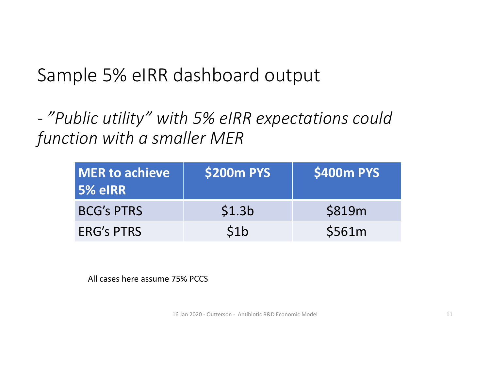### Sample 5% eIRR dashboard output

 *"Public utility" with 5% eIRR expectations could function with a smaller MER*

| <b>MER to achieve</b><br>5% eIRR | <b>\$200m PYS</b>  | <b>\$400m PYS</b> |
|----------------------------------|--------------------|-------------------|
| <b>BCG's PTRS</b>                | \$1.3 <sub>b</sub> | \$819m            |
| <b>ERG's PTRS</b>                | 51 <sub>b</sub>    | \$561m            |

All cases here assume 75% PCCS

16 Jan 2020 - Outterson - Antibiotic R&D Economic Model 11